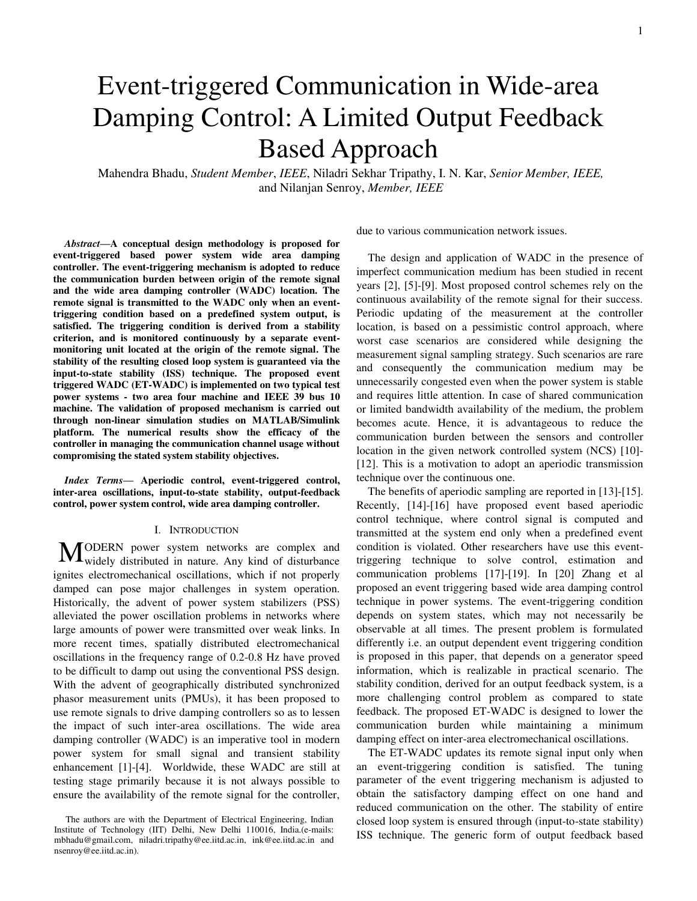Mahendra Bhadu, *Student Member*, *IEEE*, Niladri Sekhar Tripathy, I. N. Kar, *Senior Member, IEEE,* and Nilanjan Senroy, *Member, IEEE*

*Abstract***—A conceptual design methodology is proposed for event-triggered based power system wide area damping controller. The event-triggering mechanism is adopted to reduce the communication burden between origin of the remote signal and the wide area damping controller (WADC) location. The remote signal is transmitted to the WADC only when an eventtriggering condition based on a predefined system output, is satisfied. The triggering condition is derived from a stability criterion, and is monitored continuously by a separate eventmonitoring unit located at the origin of the remote signal. The stability of the resulting closed loop system is guaranteed via the input-to-state stability (ISS) technique. The proposed event triggered WADC (ET-WADC) is implemented on two typical test power systems - two area four machine and IEEE 39 bus 10 machine. The validation of proposed mechanism is carried out through non-linear simulation studies on MATLAB/Simulink platform. The numerical results show the efficacy of the controller in managing the communication channel usage without compromising the stated system stability objectives.** 

*Index Terms***— Aperiodic control, event-triggered control, inter-area oscillations, input-to-state stability, output-feedback control, power system control, wide area damping controller.**

#### I. INTRODUCTION

ODERN power system networks are complex and MODERN power system networks are complex and widely distributed in nature. Any kind of disturbance ignites electromechanical oscillations, which if not properly damped can pose major challenges in system operation. Historically, the advent of power system stabilizers (PSS) alleviated the power oscillation problems in networks where large amounts of power were transmitted over weak links. In more recent times, spatially distributed electromechanical oscillations in the frequency range of 0.2-0.8 Hz have proved to be difficult to damp out using the conventional PSS design. With the advent of geographically distributed synchronized phasor measurement units (PMUs), it has been proposed to use remote signals to drive damping controllers so as to lessen the impact of such inter-area oscillations. The wide area damping controller (WADC) is an imperative tool in modern power system for small signal and transient stability enhancement [1]-[4]. Worldwide, these WADC are still at testing stage primarily because it is not always possible to ensure the availability of the remote signal for the controller,

due to various communication network issues.

The design and application of WADC in the presence of imperfect communication medium has been studied in recent years [2], [5]-[9]. Most proposed control schemes rely on the continuous availability of the remote signal for their success. Periodic updating of the measurement at the controller location, is based on a pessimistic control approach, where worst case scenarios are considered while designing the measurement signal sampling strategy. Such scenarios are rare and consequently the communication medium may be unnecessarily congested even when the power system is stable and requires little attention. In case of shared communication or limited bandwidth availability of the medium, the problem becomes acute. Hence, it is advantageous to reduce the communication burden between the sensors and controller location in the given network controlled system (NCS) [10]- [12]. This is a motivation to adopt an aperiodic transmission technique over the continuous one.

The benefits of aperiodic sampling are reported in [13]-[15]. Recently, [14]-[16] have proposed event based aperiodic control technique, where control signal is computed and transmitted at the system end only when a predefined event condition is violated. Other researchers have use this eventtriggering technique to solve control, estimation and communication problems [17]-[19]. In [20] Zhang et al proposed an event triggering based wide area damping control technique in power systems. The event-triggering condition depends on system states, which may not necessarily be observable at all times. The present problem is formulated differently i.e. an output dependent event triggering condition is proposed in this paper, that depends on a generator speed information, which is realizable in practical scenario. The stability condition, derived for an output feedback system, is a more challenging control problem as compared to state feedback. The proposed ET-WADC is designed to lower the communication burden while maintaining a minimum damping effect on inter-area electromechanical oscillations.

The ET-WADC updates its remote signal input only when an event-triggering condition is satisfied. The tuning parameter of the event triggering mechanism is adjusted to obtain the satisfactory damping effect on one hand and reduced communication on the other. The stability of entire closed loop system is ensured through (input-to-state stability) ISS technique. The generic form of output feedback based

The authors are with the Department of Electrical Engineering, Indian Institute of Technology (IIT) Delhi, New Delhi 110016, India.(e-mails: mbhadu@gmail.com, niladri.tripathy@ee.iitd.ac.in, ink@ee.iitd.ac.in and nsenroy@ee.iitd.ac.in).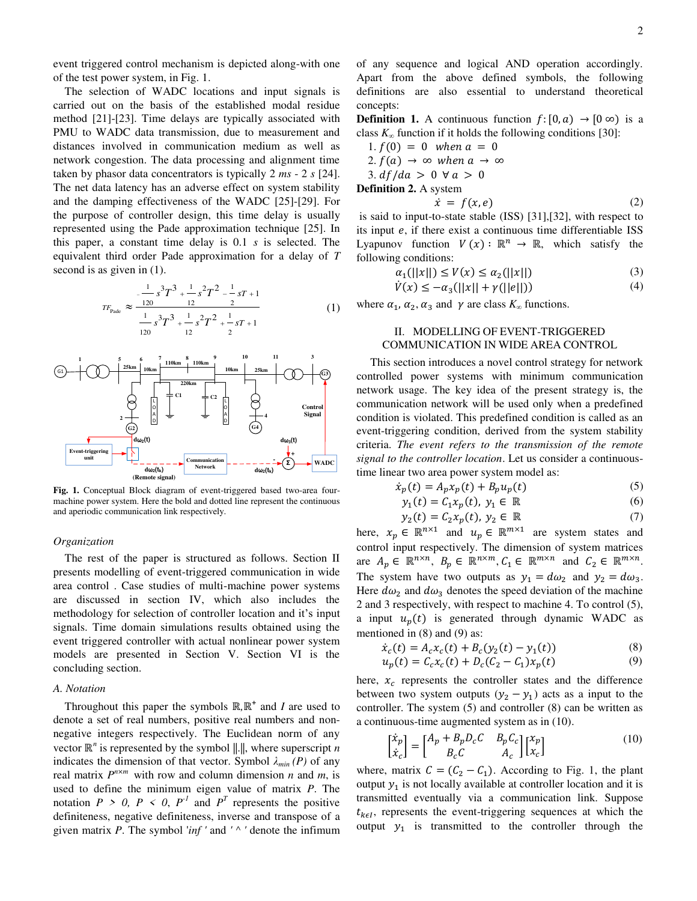event triggered control mechanism is depicted along-with one of the test power system, in Fig. 1.

The selection of WADC locations and input signals is carried out on the basis of the established modal residue method [21]-[23]. Time delays are typically associated with PMU to WADC data transmission, due to measurement and distances involved in communication medium as well as network congestion. The data processing and alignment time taken by phasor data concentrators is typically 2 *ms* - 2 *s* [24]. The net data latency has an adverse effect on system stability and the damping effectiveness of the WADC [25]-[29]. For the purpose of controller design, this time delay is usually represented using the Pade approximation technique [25]. In this paper, a constant time delay is 0.1 *s* is selected. The equivalent third order Pade approximation for a delay of *T* second is as given in (1).

$$
r_{\text{Pade}} \approx \frac{-\frac{1}{120} s^3 T^3 + \frac{1}{12} s^2 T^2 - \frac{1}{12} s T + 1}{\frac{1}{120} s^3 T^3 + \frac{1}{12} s^2 T^2 + \frac{1}{12} s T + 1}
$$
(1)



**Fig. 1.** Conceptual Block diagram of event-triggered based two-area fourmachine power system. Here the bold and dotted line represent the continuous and aperiodic communication link respectively.

### *Organization*

The rest of the paper is structured as follows. Section II presents modelling of event-triggered communication in wide area control . Case studies of multi-machine power systems are discussed in section IV, which also includes the methodology for selection of controller location and it's input signals. Time domain simulations results obtained using the event triggered controller with actual nonlinear power system models are presented in Section V. Section VI is the concluding section.

#### *A. Notation*

Throughout this paper the symbols  $\mathbb{R}, \mathbb{R}^+$  and *I* are used to denote a set of real numbers, positive real numbers and nonnegative integers respectively. The Euclidean norm of any vector  $\mathbb{R}^n$  is represented by the symbol  $\|\cdot\|$ , where superscript *n* indicates the dimension of that vector. Symbol  $\lambda_{min}(P)$  of any real matrix  $P^{n \times m}$  with row and column dimension *n* and *m*, is used to define the minimum eigen value of matrix *P*. The notation  $P > 0$ ,  $P < 0$ ,  $P<sup>-1</sup>$  and  $P<sup>T</sup>$  represents the positive definiteness, negative definiteness, inverse and transpose of a given matrix *P*. The symbol '*inf '* and *' ^ '* denote the infimum

of any sequence and logical AND operation accordingly. Apart from the above defined symbols, the following definitions are also essential to understand theoretical concepts:

**Definition 1.** A continuous function  $f:[0, a) \to [0, \infty)$  is a class  $K_{\infty}$  function if it holds the following conditions [30]:

1. 
$$
f(0) = 0
$$
 when  $a = 0$   
\n2.  $f(a) \rightarrow \infty$  when  $a \rightarrow \infty$   
\n3.  $df/da > 0 \forall a > 0$   
\n**Definition 2.** A system  
\n
$$
\dot{x} = f(x, a)
$$
 (2)

 $x = f(x, e)$  is said to input-to-state stable (ISS) [31],[32], with respect to its input  $e$ , if there exist a continuous time differentiable ISS Lyapunov function  $V(x) : \mathbb{R}^n \to \mathbb{R}$ , which satisfy the following conditions:

$$
\alpha_1(||x||) \le V(x) \le \alpha_2(||x||) \tag{3}
$$

$$
\dot{V}(x) \le -\alpha_3(||x|| + \gamma(||e||))\tag{4}
$$

where  $\alpha_1$ ,  $\alpha_2$ ,  $\alpha_3$  and  $\gamma$  are class  $K_\infty$  functions.

# II. MODELLING OF EVENT-TRIGGERED COMMUNICATION IN WIDE AREA CONTROL

This section introduces a novel control strategy for network controlled power systems with minimum communication network usage. The key idea of the present strategy is, the communication network will be used only when a predefined condition is violated. This predefined condition is called as an event-triggering condition, derived from the system stability criteria. *The event refers to the transmission of the remote signal to the controller location*. Let us consider a continuoustime linear two area power system model as:

$$
\dot{x}_p(t) = A_p x_p(t) + B_p u_p(t) \tag{5}
$$

$$
y_1(t) = C_1 x_p(t), y_1 \in \mathbb{R}
$$
 (6)

$$
y_2(t) = C_2 x_p(t), \ y_2 \in \mathbb{R}
$$
 (7)

here,  $x_p \in \mathbb{R}^{n \times 1}$  and  $u_p \in \mathbb{R}^{m \times 1}$  are system states and control input respectively. The dimension of system matrices are  $A_p \in \mathbb{R}^{n \times n}$ ,  $B_p \in \mathbb{R}^{n \times m}$ ,  $C_1 \in \mathbb{R}^{m \times n}$  and  $C_2 \in \mathbb{R}^{m \times n}$ . The system have two outputs as  $y_1 = d\omega_2$  and  $y_2 = d\omega_3$ . Here  $d\omega_2$  and  $d\omega_3$  denotes the speed deviation of the machine 2 and 3 respectively, with respect to machine 4. To control (5), a input  $u_p(t)$  is generated through dynamic WADC as mentioned in (8) and (9) as:

$$
\dot{x}_c(t) = A_c x_c(t) + B_c (y_2(t) - y_1(t))
$$
\n(8)

$$
u_p(t) = C_c x_c(t) + D_c(C_2 - C_1)x_p(t)
$$
\n(9)

here,  $x_c$  represents the controller states and the difference between two system outputs  $(y_2 - y_1)$  acts as a input to the controller. The system (5) and controller (8) can be written as a continuous-time augmented system as in (10).

$$
\begin{bmatrix} \dot{x}_p \\ \dot{x}_c \end{bmatrix} = \begin{bmatrix} A_p + B_p D_c C & B_p C_c \\ B_c C & A_c \end{bmatrix} \begin{bmatrix} x_p \\ x_c \end{bmatrix}
$$
 (10)

where, matrix  $C = (C_2 - C_1)$ . According to Fig. 1, the plant output  $y_1$  is not locally available at controller location and it is transmitted eventually via a communication link. Suppose  $t_{k\epsilon l}$ , represents the event-triggering sequences at which the output  $y_1$  is transmitted to the controller through the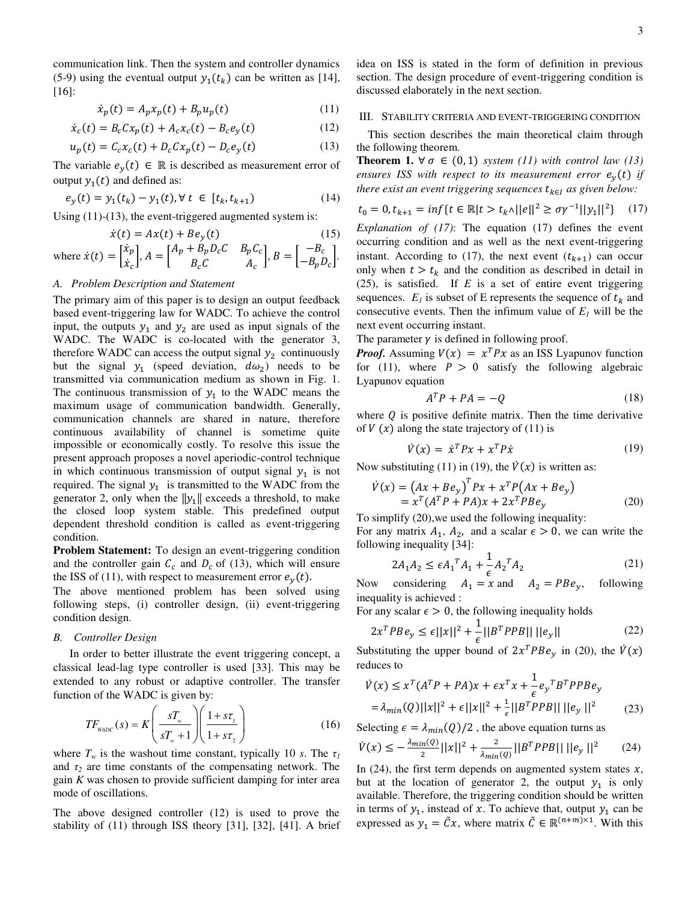communication link. Then the system and controller dynamics (5-9) using the eventual output  $y_1(t_k)$  can be written as [14], [16]:

$$
\dot{x}_p(t) = A_p x_p(t) + B_p u_p(t) \tag{11}
$$

$$
\dot{x}_c(t) = B_c C x_p(t) + A_c x_c(t) - B_c e_y(t)
$$
\n(12)

$$
u_p(t) = C_c x_c(t) + D_c C x_p(t) - D_c e_y(t)
$$
 (13)

The variable  $e_y(t) \in \mathbb{R}$  is described as measurement error of output  $y_1(t)$  and defined as:

$$
e_y(t) = y_1(t_k) - y_1(t), \forall t \in [t_k, t_{k+1})
$$
\n(14)

Using (11)-(13), the event-triggered augmented system is:

$$
\dot{x}(t) = Ax(t) + Be_y(t) \tag{15}
$$

where 
$$
\dot{x}(t) = \begin{bmatrix} \dot{x}_p \\ \dot{x}_c \end{bmatrix}
$$
,  $A = \begin{bmatrix} A_p + B_p D_c C & B_p C_c \\ B_c C & A_c \end{bmatrix}$ ,  $B = \begin{bmatrix} -B_c \\ -B_p D_c \end{bmatrix}$ .

## *A. Problem Description and Statement*

The primary aim of this paper is to design an output feedback based event-triggering law for WADC. To achieve the control input, the outputs  $y_1$  and  $y_2$  are used as input signals of the WADC. The WADC is co-located with the generator 3, therefore WADC can access the output signal  $y_2$  continuously but the signal  $y_1$  (speed deviation,  $d\omega_2$ ) needs to be transmitted via communication medium as shown in Fig. 1. The continuous transmission of  $y_1$  to the WADC means the maximum usage of communication bandwidth. Generally, communication channels are shared in nature, therefore continuous availability of channel is sometime quite impossible or economically costly. To resolve this issue the present approach proposes a novel aperiodic-control technique in which continuous transmission of output signal  $y_1$  is not required. The signal  $y_1$  is transmitted to the WADC from the generator 2, only when the  $||y_1||$  exceeds a threshold, to make the closed loop system stable. This predefined output dependent threshold condition is called as event-triggering condition.

**Problem Statement:** To design an event-triggering condition and the controller gain  $C_c$  and  $D_c$  of (13), which will ensure the ISS of (11), with respect to measurement error  $e_y$ 

The above mentioned problem has been solved using following steps, (i) controller design, (ii) event-triggering condition design.

# *B. Controller Design*

In order to better illustrate the event triggering concept, a classical lead-lag type controller is used [33]. This may be extended to any robust or adaptive controller. The transfer function of the WADC is given by:

$$
TF_{\text{WADC}}(s) = K \left(\frac{sT_{w}}{sT_{w} + 1}\right) \left(\frac{1 + s\tau_{1}}{1 + s\tau_{2}}\right)
$$
(16)

where  $T_w$  is the washout time constant, typically 10 *s*. The  $\tau_1$ and  $\tau_2$  are time constants of the compensating network. The gain *K* was chosen to provide sufficient damping for inter area mode of oscillations.

The above designed controller (12) is used to prove the stability of (11) through ISS theory [31], [32], [41]. A brief idea on ISS is stated in the form of definition in previous section. The design procedure of event-triggering condition is discussed elaborately in the next section.

#### III. STABILITY CRITERIA AND EVENT-TRIGGERING CONDITION

This section describes the main theoretical claim through the following theorem.

**Theorem 1.**  $\forall \sigma \in (0,1)$  system (11) with control law (13) ensures ISS with respect to its measurement error  $e_v(t)$  if *there exist an event triggering sequences*  $t_{k \in I}$  *as given below:* 

$$
t_0 = 0, t_{k+1} = \inf\{t \in \mathbb{R} | t > t_k \land ||e||^2 \ge \sigma \gamma^{-1} ||y_1||^2\} \tag{17}
$$

*Explanation of (17)*: The equation (17) defines the event occurring condition and as well as the next event-triggering instant. According to (17), the next event  $(t_{k+1})$  can occur only when  $t > t_k$  and the condition as described in detail in (25), is satisfied. If *E* is a set of entire event triggering sequences.  $E_I$  is subset of E represents the sequence of  $t_k$  and consecutive events. Then the infimum value of  $E_I$  will be the next event occurring instant.

The parameter  $\gamma$  is defined in following proof.

*Proof.* Assuming  $V(x) = x^T P x$  as an ISS Lyapunov function for (11), where  $P > 0$  satisfy the following algebraic Lyapunov equation

$$
A^T P + P A = -Q \tag{18}
$$

where  $Q$  is positive definite matrix. Then the time derivative of  $V(x)$  along the state trajectory of (11) is

$$
\dot{V}(x) = \dot{x}^T P x + x^T P \dot{x} \tag{19}
$$

Now substituting (11) in (19), the  $\dot{V}(x)$  is written as:

$$
\dot{V}(x) = (Ax + Be_y)^T P x + x^T P (Ax + Be_y)
$$
  
=  $x^T (A^T P + P A) x + 2x^T P B e_y$  (20)

To simplify (20),we used the following inequality:

For any matrix  $A_1$ ,  $A_2$ , and a scalar  $\epsilon > 0$ , we can write the following inequality [34]:

$$
2A_1 A_2 \le \epsilon A_1^T A_1 + \frac{1}{\epsilon} A_2^T A_2 \tag{21}
$$

Now considering  $A_1 = x$  and  $A_2 = PBe_y$ , following inequality is achieved :

For any scalar  $\epsilon > 0$ , the following inequality holds

$$
2x^{T}PBe_{y} \le \epsilon ||x||^{2} + \frac{1}{\epsilon}||B^{T}PPB|| ||e_{y}||
$$
 (22)

Substituting the upper bound of  $2x^T P B e_y$  in (20), the reduces to

$$
\dot{V}(x) \le x^T (A^T P + P A)x + \epsilon x^T x + \frac{1}{\epsilon} e_y^T B^T P P B e_y
$$
  
=  $\lambda_{min}(Q) ||x||^2 + \epsilon ||x||^2 + \frac{1}{\epsilon} ||B^T P P B|| ||e_y||^2$  (23)

Selecting  $\epsilon = \lambda_{min}(Q)/2$ , the above equation turns as

$$
\dot{V}(x) \le -\frac{\lambda_{min}(0)}{2}||x||^2 + \frac{2}{\lambda_{min}(0)}||B^TPPB||||e_y||^2 \qquad (24)
$$

In (24), the first term depends on augmented system states  $x$ , but at the location of generator 2, the output  $y_1$  is only available. Therefore, the triggering condition should be written in terms of  $y_1$ , instead of x. To achieve that, output  $y_1$  can be expressed as  $y_1 = \tilde{C}x$ , where matrix  $\tilde{C} \in \mathbb{R}^{(n+m)\times 1}$ . With this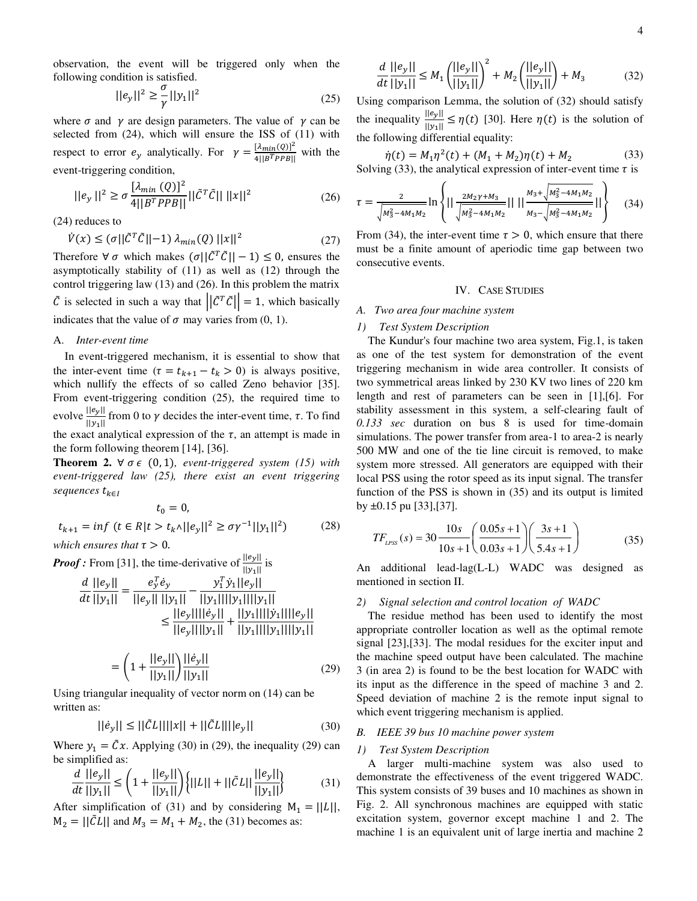observation, the event will be triggered only when the following condition is satisfied.

$$
||e_y||^2 \ge \frac{\sigma}{\gamma} ||y_1||^2
$$
 (25)

where  $\sigma$  and  $\gamma$  are design parameters. The value of  $\gamma$  can be selected from (24), which will ensure the ISS of (11) with respect to error  $e_v$  analytically. For  $\gamma = \frac{1}{4}$  $\frac{10 \text{ m} \cdot (8)}{4||B^TPPB||}$  with the event-triggering condition,

$$
||e_y||^2 \ge \sigma \frac{[\lambda_{min}(Q)]^2}{4||B^TPPB||} ||\tilde{C}^T \tilde{C}|| \, ||x||^2
$$
 (26)

(24) reduces to

$$
\dot{V}(x) \le (\sigma ||\tilde{C}^T \tilde{C}|| - 1) \lambda_{min}(Q) ||x||^2 \tag{27}
$$

Therefore  $\forall \sigma$  which makes  $(\sigma||\tilde{C}^T\tilde{C}||-1) \leq 0$ , ensures the asymptotically stability of (11) as well as (12) through the control triggering law (13) and (26). In this problem the matrix  $\tilde{C}$  is selected in such a way that  $||\tilde{C}^T\tilde{C}|| = 1$ , which basically indicates that the value of  $\sigma$  may varies from (0, 1).

### A. *Inter-event time*

In event-triggered mechanism, it is essential to show that the inter-event time  $(\tau = t_{k+1} - t_k > 0)$  is always positive, which nullify the effects of so called Zeno behavior [35]. From event-triggering condition (25), the required time to evolve  $\frac{\log n}{\|y_1\|}$  from 0 to  $\gamma$  decides the inter-event time,  $\tau$ . To find the exact analytical expression of the  $\tau$ , an attempt is made in the form following theorem [14], [36].

**Theorem 2.**  $\forall \sigma \in (0,1)$ , event-triggered system (15) with *event-triggered law (25), there exist an event triggering sequences* 

$$
t_0 = 0,
$$
  

$$
t_{k+1} = \inf \ (t \in R |t > t_k \land ||e_y||^2 \ge \sigma \gamma^{-1} ||y_1||^2)
$$
 (28)

*which ensures that*  $\tau > 0$ *.* 

*Proof :* From [31], the time-derivative of  $\frac{f(1-p)}{||y_1||}$  is

$$
\frac{d}{dt} \frac{||e_y||}{||y_1||} = \frac{e_y^T \dot{e}_y}{||e_y|| \, ||y_1||} - \frac{y_1^T \dot{y}_1 ||e_y||}{||y_1|| ||y_1|| ||y_1||}
$$
\n
$$
\leq \frac{||e_y|| ||\dot{e}_y||}{||e_y|| ||y_1||} + \frac{||y_1|| ||\dot{y}_1|| ||e_y||}{||y_1|| ||y_1|| ||y_1||}
$$

$$
= \left(1 + \frac{||e_y||}{||y_1||}\right) \frac{||\dot{e}_y||}{||y_1||} \tag{29}
$$

Using triangular inequality of vector norm on (14) can be written as:

$$
||\dot{e}_y|| \le ||\ddot{C}L|| ||x|| + ||\ddot{C}L|| ||e_y|| \tag{30}
$$

Where  $y_1 = \tilde{C}x$ . Applying (30) in (29), the inequality (29) can be simplified as:

$$
\frac{d}{dt} \frac{||e_y||}{||y_1||} \le \left(1 + \frac{||e_y||}{||y_1||}\right) \left\{ ||L|| + ||\tilde{C}L|| \frac{||e_y||}{||y_1||} \right\} \tag{31}
$$

After simplification of (31) and by considering  $M_1 = ||L||$ ,  $M_2 = ||CL||$  and  $M_3 = M_1 + M_2$ , the (31) becomes as:

$$
\frac{d}{dt} \frac{||e_y||}{||y_1||} \le M_1 \left(\frac{||e_y||}{||y_1||}\right)^2 + M_2 \left(\frac{||e_y||}{||y_1||}\right) + M_3 \tag{32}
$$

Using comparison Lemma, the solution of (32) should satisfy the inequality  $\frac{\log n}{\|y_1\|} \leq \eta(t)$  [30]. Here  $\eta(t)$  is the solution of the following differential equality:

$$
\dot{\eta}(t) = M_1 \eta^2(t) + (M_1 + M_2)\eta(t) + M_2 \tag{33}
$$

Solving (33), the analytical expression of inter-event time  $\tau$  is

$$
\tau = \frac{2}{\sqrt{M_3^2 - 4M_1M_2}} \ln \left\{ || \frac{2M_2\gamma + M_3}{\sqrt{M_3^2 - 4M_1M_2}} || || \frac{M_3 + \sqrt{M_3^2 - 4M_1M_2}}{M_3 - \sqrt{M_3^2 - 4M_1M_2}} || \right\}
$$
(34)

From (34), the inter-event time  $\tau > 0$ , which ensure that there must be a finite amount of aperiodic time gap between two consecutive events.

### IV. CASE STUDIES

### *A. Two area four machine system*

## *1) Test System Description*

The Kundur's four machine two area system, Fig.1, is taken as one of the test system for demonstration of the event triggering mechanism in wide area controller. It consists of two symmetrical areas linked by 230 KV two lines of 220 km length and rest of parameters can be seen in [1],[6]. For stability assessment in this system, a self-clearing fault of *0.133 sec* duration on bus 8 is used for time-domain simulations. The power transfer from area-1 to area-2 is nearly 500 MW and one of the tie line circuit is removed, to make system more stressed. All generators are equipped with their local PSS using the rotor speed as its input signal. The transfer function of the PSS is shown in (35) and its output is limited by ±0.15 pu [33],[37].

$$
TF_{LPSS}(s) = 30 \frac{10s}{10s + 1} \left( \frac{0.05s + 1}{0.03s + 1} \right) \left( \frac{3s + 1}{5.4s + 1} \right)
$$
(35)

An additional lead-lag(L-L) WADC was designed as mentioned in section II.

## *2) Signal selection and control location of WADC*

The residue method has been used to identify the most appropriate controller location as well as the optimal remote signal [23],[33]. The modal residues for the exciter input and the machine speed output have been calculated. The machine 3 (in area 2) is found to be the best location for WADC with its input as the difference in the speed of machine 3 and 2. Speed deviation of machine 2 is the remote input signal to which event triggering mechanism is applied.

## *B. IEEE 39 bus 10 machine power system*

### *1) Test System Description*

A larger multi-machine system was also used to demonstrate the effectiveness of the event triggered WADC. This system consists of 39 buses and 10 machines as shown in Fig. 2. All synchronous machines are equipped with static excitation system, governor except machine 1 and 2. The machine 1 is an equivalent unit of large inertia and machine 2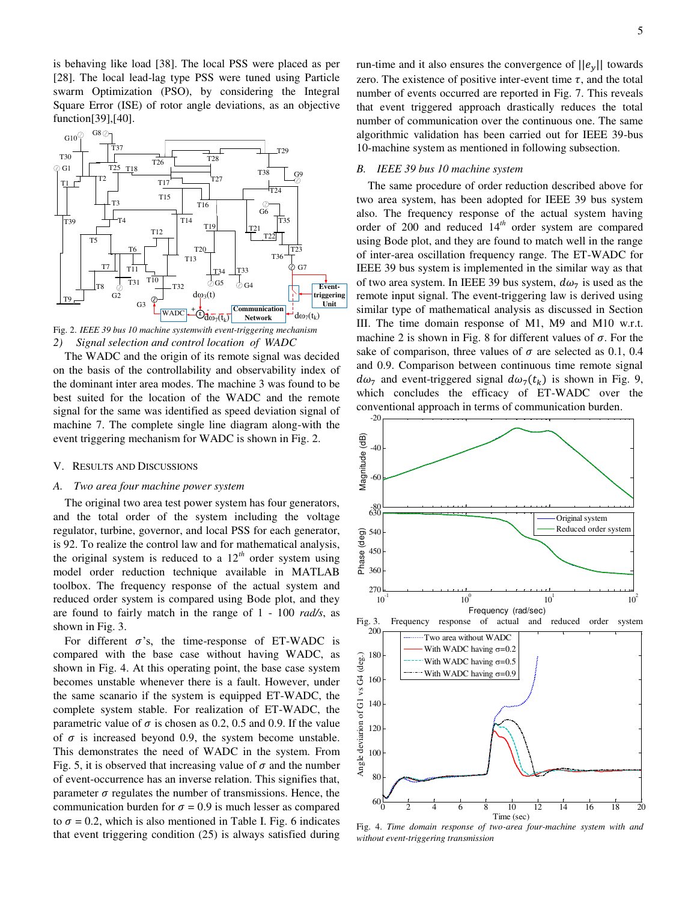is behaving like load [38]. The local PSS were placed as per [28]. The local lead-lag type PSS were tuned using Particle swarm Optimization (PSO), by considering the Integral Square Error (ISE) of rotor angle deviations, as an objective function[39],[40].



Fig. 2. *IEEE 39 bus 10 machine systemwith event-triggering mechanism 2) Signal selection and control location of WADC* 

The WADC and the origin of its remote signal was decided on the basis of the controllability and observability index of the dominant inter area modes. The machine 3 was found to be best suited for the location of the WADC and the remote signal for the same was identified as speed deviation signal of machine 7. The complete single line diagram along-with the event triggering mechanism for WADC is shown in Fig. 2.

## V. RESULTS AND DISCUSSIONS

## *A. Two area four machine power system*

The original two area test power system has four generators, and the total order of the system including the voltage regulator, turbine, governor, and local PSS for each generator, is 92. To realize the control law and for mathematical analysis, the original system is reduced to a  $12<sup>th</sup>$  order system using model order reduction technique available in MATLAB toolbox. The frequency response of the actual system and reduced order system is compared using Bode plot, and they are found to fairly match in the range of 1 - 100 *rad/s*, as shown in Fig. 3.

For different  $\sigma$ 's, the time-response of ET-WADC is compared with the base case without having WADC, as shown in Fig. 4. At this operating point, the base case system becomes unstable whenever there is a fault. However, under the same scanario if the system is equipped ET-WADC, the complete system stable. For realization of ET-WADC, the parametric value of  $\sigma$  is chosen as 0.2, 0.5 and 0.9. If the value of  $\sigma$  is increased beyond 0.9, the system become unstable. This demonstrates the need of WADC in the system. From Fig. 5, it is observed that increasing value of  $\sigma$  and the number of event-occurrence has an inverse relation. This signifies that, parameter  $\sigma$  regulates the number of transmissions. Hence, the communication burden for  $\sigma = 0.9$  is much lesser as compared to  $\sigma$  = 0.2, which is also mentioned in Table I. Fig. 6 indicates that event triggering condition (25) is always satisfied during

run-time and it also ensures the convergence of  $||e_v||$  towards zero. The existence of positive inter-event time  $\tau$ , and the total number of events occurred are reported in Fig. 7. This reveals that event triggered approach drastically reduces the total number of communication over the continuous one. The same algorithmic validation has been carried out for IEEE 39-bus 10-machine system as mentioned in following subsection.

## *B. IEEE 39 bus 10 machine system*

The same procedure of order reduction described above for two area system, has been adopted for IEEE 39 bus system also. The frequency response of the actual system having order of 200 and reduced 14*th* order system are compared using Bode plot, and they are found to match well in the range of inter-area oscillation frequency range. The ET-WADC for IEEE 39 bus system is implemented in the similar way as that of two area system. In IEEE 39 bus system,  $d\omega_7$  is used as the remote input signal. The event-triggering law is derived using similar type of mathematical analysis as discussed in Section III. The time domain response of M1, M9 and M10 w.r.t. machine 2 is shown in Fig. 8 for different values of  $\sigma$ . For the sake of comparison, three values of  $\sigma$  are selected as 0.1, 0.4 and 0.9. Comparison between continuous time remote signal  $d\omega_7$  and event-triggered signal  $d\omega_7(t_k)$  is shown in Fig. 9, which concludes the efficacy of ET-WADC over the conventional approach in terms of communication burden.



Fig. 4. *Time domain response of two-area four-machine system with and without event-triggering transmission*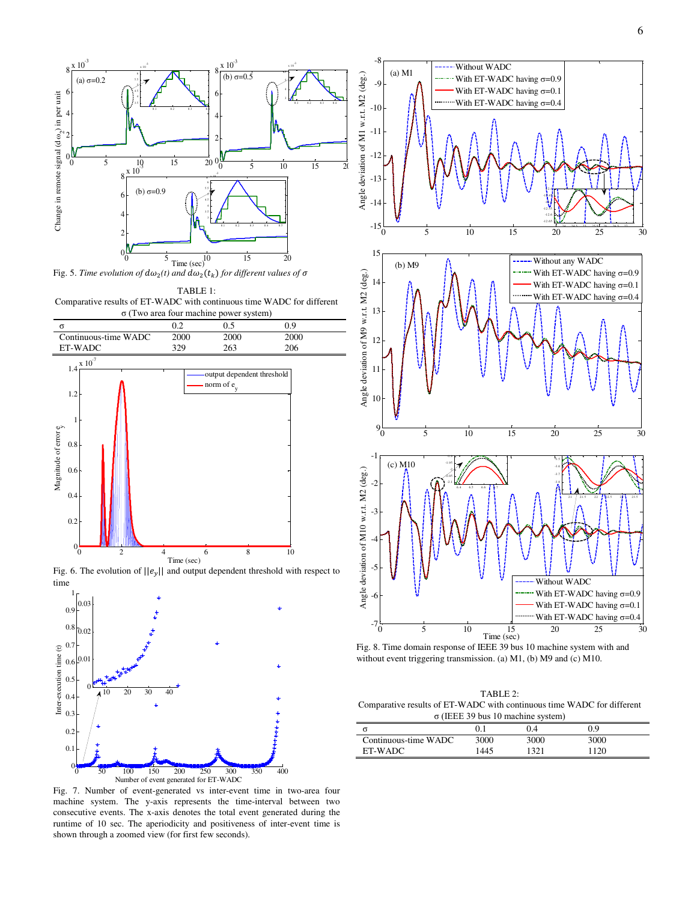



TABLE 1: Comparative results of ET-WADC with continuous time WADC for different σ (Two area four machine power system)



Fig. 6. The evolution of  $||e_v||$  and output dependent threshold with respect to time



Fig. 7. Number of event-generated vs inter-event time in two-area four machine system. The y-axis represents the time-interval between two consecutive events. The x-axis denotes the total event generated during the runtime of 10 sec. The aperiodicity and positiveness of inter-event time is shown through a zoomed view (for first few seconds).



Fig. 8. Time domain response of IEEE 39 bus 10 machine system with and without event triggering transmission. (a) M1, (b) M9 and (c) M10.

TABLE 2: Comparative results of ET-WADC with continuous time WADC for different σ (IEEE 39 bus 10 machine system)

|                      |      | 0.4  | 09   |  |
|----------------------|------|------|------|--|
| Continuous-time WADC | 3000 | 3000 | 3000 |  |
| ET-WADC              | 1445 | 1321 | 1120 |  |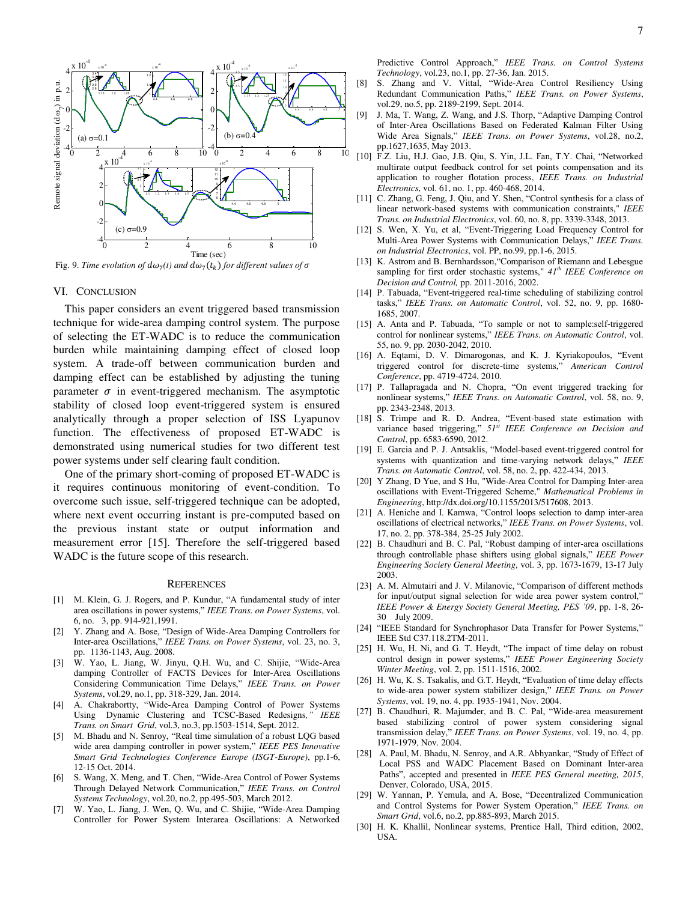

Fig. 9. *Time evolution of*  $d\omega_7(t)$  *and*  $d\omega_7(t_k)$  *for different values of* 

#### VI. CONCLUSION

This paper considers an event triggered based transmission technique for wide-area damping control system. The purpose of selecting the ET-WADC is to reduce the communication burden while maintaining damping effect of closed loop system. A trade-off between communication burden and damping effect can be established by adjusting the tuning parameter  $\sigma$  in event-triggered mechanism. The asymptotic stability of closed loop event-triggered system is ensured analytically through a proper selection of ISS Lyapunov function. The effectiveness of proposed ET-WADC is demonstrated using numerical studies for two different test power systems under self clearing fault condition.

One of the primary short-coming of proposed ET-WADC is it requires continuous monitoring of event-condition. To overcome such issue, self-triggered technique can be adopted, where next event occurring instant is pre-computed based on the previous instant state or output information and measurement error [15]. Therefore the self-triggered based WADC is the future scope of this research.

#### **REFERENCES**

- [1] M. Klein, G. J. Rogers, and P. Kundur, "A fundamental study of inter area oscillations in power systems," *IEEE Trans. on Power Systems*, vol. 6, no. 3, pp. 914-921,1991.
- [2] Y. Zhang and A. Bose, "Design of Wide-Area Damping Controllers for Inter-area Oscillations," *IEEE Trans. on Power Systems*, vol. 23, no. 3, pp. 1136-1143, Aug. 2008.
- [3] W. Yao, L. Jiang, W. Jinyu, Q.H. Wu, and C. Shijie, "Wide-Area damping Controller of FACTS Devices for Inter-Area Oscillations Considering Communication Time Delays," *IEEE Trans. on Power Systems*, vol.29, no.1, pp. 318-329, Jan. 2014.
- [4] A. Chakrabortty, "Wide-Area Damping Control of Power Systems Using Dynamic Clustering and TCSC-Based Redesigns*," IEEE Trans. on Smart Grid*, vol.3, no.3, pp.1503-1514, Sept. 2012.
- [5] M. Bhadu and N. Senroy, "Real time simulation of a robust LQG based wide area damping controller in power system," *IEEE PES Innovative Smart Grid Technologies Conference Europe (ISGT-Europe)*, pp.1-6, 12-15 Oct. 2014.
- [6] S. Wang, X. Meng, and T. Chen, "Wide-Area Control of Power Systems Through Delayed Network Communication," *IEEE Trans. on Control Systems Technology*, vol.20, no.2, pp.495-503, March 2012.
- [7] W. Yao, L. Jiang, J. Wen, Q. Wu, and C. Shijie, "Wide-Area Damping Controller for Power System Interarea Oscillations: A Networked

Predictive Control Approach," *IEEE Trans. on Control Systems Technology*, vol.23, no.1, pp. 27-36, Jan. 2015.

- [8] S. Zhang and V. Vittal, "Wide-Area Control Resiliency Using Redundant Communication Paths," *IEEE Trans. on Power Systems*, vol.29, no.5, pp. 2189-2199, Sept. 2014.
- [9] J. Ma, T. Wang, Z. Wang, and J.S. Thorp, "Adaptive Damping Control of Inter-Area Oscillations Based on Federated Kalman Filter Using Wide Area Signals," *IEEE Trans. on Power Systems*, vol.28, no.2, pp.1627,1635, May 2013.
- [10] F.Z. Liu, H.J. Gao, J.B. Qiu, S. Yin, J.L. Fan, T.Y. Chai, "Networked multirate output feedback control for set points compensation and its application to rougher flotation process, *IEEE Trans. on Industrial Electronics*, vol. 61, no. 1, pp. 460-468, 2014.
- [11] C. Zhang, G. Feng, J. Qiu, and Y. Shen, "Control synthesis for a class of linear network-based systems with communication constraints," *IEEE Trans. on Industrial Electronics*, vol. 60, no. 8, pp. 3339-3348, 2013.
- [12] S. Wen, X. Yu, et al, "Event-Triggering Load Frequency Control for Multi-Area Power Systems with Communication Delays," *IEEE Trans. on Industrial Electronics*, vol. PP, no.99, pp.1-6, 2015.
- [13] K. Astrom and B. Bernhardsson, "Comparison of Riemann and Lebesgue sampling for first order stochastic systems," *41th IEEE Conference on Decision and Control,* pp. 2011-2016, 2002.
- [14] P. Tabuada, "Event-triggered real-time scheduling of stabilizing control tasks," *IEEE Trans. on Automatic Control*, vol. 52, no. 9, pp. 1680- 1685, 2007.
- [15] A. Anta and P. Tabuada, "To sample or not to sample:self-triggered control for nonlinear systems," *IEEE Trans. on Automatic Control*, vol. 55, no. 9, pp. 2030-2042, 2010.
- [16] A. Eqtami, D. V. Dimarogonas, and K. J. Kyriakopoulos, "Event triggered control for discrete-time systems," *American Control Conference*, pp. 4719-4724, 2010.
- [17] P. Tallapragada and N. Chopra, "On event triggered tracking for nonlinear systems," *IEEE Trans. on Automatic Control*, vol. 58, no. 9, pp. 2343-2348, 2013.
- [18] S. Trimpe and R. D. Andrea, "Event-based state estimation with variance based triggering," *51st IEEE Conference on Decision and Control*, pp. 6583-6590, 2012.
- [19] E. Garcia and P. J. Antsaklis, "Model-based event-triggered control for systems with quantization and time-varying network delays," *IEEE Trans. on Automatic Control*, vol. 58, no. 2, pp. 422-434, 2013.
- [20] Y Zhang, D Yue, and S Hu, "Wide-Area Control for Damping Inter-area oscillations with Event-Triggered Scheme," *Mathematical Problems in Engineering*, http://dx.doi.org/10.1155/2013/517608, 2013.
- [21] A. Heniche and I. Kamwa, "Control loops selection to damp inter-area oscillations of electrical networks," *IEEE Trans. on Power Systems*, vol. 17, no. 2, pp. 378-384, 25-25 July 2002.
- [22] B. Chaudhuri and B. C. Pal, "Robust damping of inter-area oscillations" through controllable phase shifters using global signals," *IEEE Power Engineering Society General Meeting*, vol. 3, pp. 1673-1679, 13-17 July 2003.
- [23] A. M. Almutairi and J. V. Milanovic, "Comparison of different methods for input/output signal selection for wide area power system control," *IEEE Power & Energy Society General Meeting, PES '09*, pp. 1-8, 26- 30 July 2009.
- [24] "IEEE Standard for Synchrophasor Data Transfer for Power Systems," IEEE Std C37.118.2TM-2011.
- [25] H. Wu, H. Ni, and G. T. Heydt, "The impact of time delay on robust control design in power systems," *IEEE Power Engineering Society Winter Meeting*, vol. 2, pp. 1511-1516, 2002.
- [26] H. Wu, K. S. Tsakalis, and G.T. Heydt, "Evaluation of time delay effects to wide-area power system stabilizer design," *IEEE Trans. on Power Systems*, vol. 19, no. 4, pp. 1935-1941, Nov. 2004.
- [27] B. Chaudhuri, R. Majumder, and B. C. Pal, "Wide-area measurement based stabilizing control of power system considering signal transmission delay," *IEEE Trans. on Power Systems*, vol. 19, no. 4, pp. 1971-1979, Nov. 2004.
- [28] A. Paul, M. Bhadu, N. Senroy, and A.R. Abhyankar, "Study of Effect of Local PSS and WADC Placement Based on Dominant Inter-area Paths", accepted and presented in *IEEE PES General meeting, 2015*, Denver, Colorado, USA, 2015.
- [29] W. Yannan, P. Yemula, and A. Bose, "Decentralized Communication and Control Systems for Power System Operation," *IEEE Trans. on Smart Grid*, vol.6, no.2, pp.885-893, March 2015.
- [30] H. K. Khallil, Nonlinear systems, Prentice Hall, Third edition, 2002, USA.